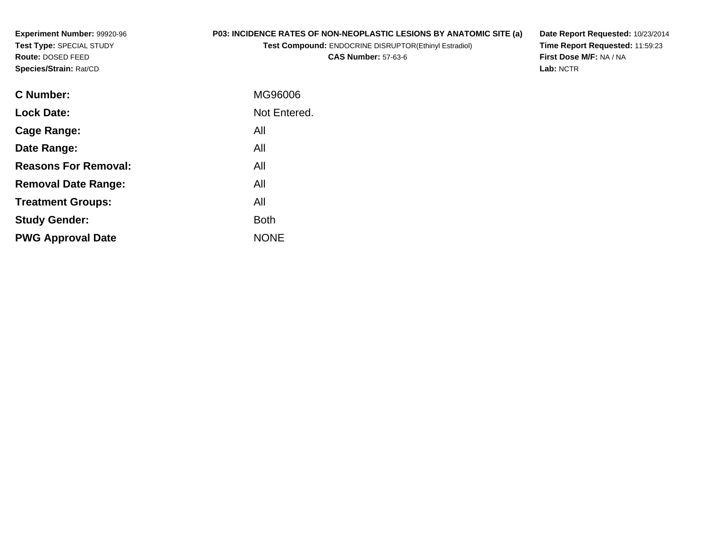**Experiment Number:** 99920-96**Test Type:** SPECIAL STUDY**Route:** DOSED FEED**Species/Strain:** Rat/CD

# **P03: INCIDENCE RATES OF NON-NEOPLASTIC LESIONS BY ANATOMIC SITE (a)**

**Test Compound:** ENDOCRINE DISRUPTOR(Ethinyl Estradiol)

**CAS Number:** 57-63-6

**Date Report Requested:** 10/23/2014 **Time Report Requested:** 11:59:23**First Dose M/F:** NA / NA**Lab:** NCTR

| <b>C</b> Number:            | MG96006      |
|-----------------------------|--------------|
| <b>Lock Date:</b>           | Not Entered. |
| Cage Range:                 | All          |
| Date Range:                 | All          |
| <b>Reasons For Removal:</b> | All          |
| <b>Removal Date Range:</b>  | All          |
| <b>Treatment Groups:</b>    | All          |
| <b>Study Gender:</b>        | <b>Both</b>  |
| <b>PWG Approval Date</b>    | <b>NONE</b>  |
|                             |              |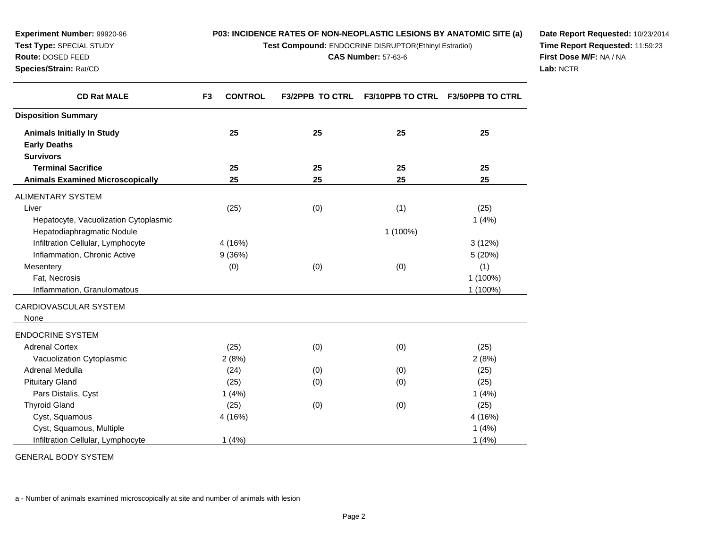**Test Compound:** ENDOCRINE DISRUPTOR(Ethinyl Estradiol)

**CAS Number:** 57-63-6

**Date Report Requested:** 10/23/2014**Time Report Requested:** 11:59:23**First Dose M/F:** NA / NA**Lab:** NCTR

| <b>CD Rat MALE</b>                      | <b>CONTROL</b><br>F <sub>3</sub> | <b>F3/2PPB TO CTRL</b> | <b>F3/10PPB TO CTRL</b> | <b>F3/50PPB TO CTRL</b> |
|-----------------------------------------|----------------------------------|------------------------|-------------------------|-------------------------|
| <b>Disposition Summary</b>              |                                  |                        |                         |                         |
| <b>Animals Initially In Study</b>       | 25                               | 25                     | 25                      | 25                      |
| <b>Early Deaths</b>                     |                                  |                        |                         |                         |
| <b>Survivors</b>                        |                                  |                        |                         |                         |
| <b>Terminal Sacrifice</b>               | 25                               | 25                     | 25                      | 25                      |
| <b>Animals Examined Microscopically</b> | 25                               | 25                     | 25                      | 25                      |
| ALIMENTARY SYSTEM                       |                                  |                        |                         |                         |
| Liver                                   | (25)                             | (0)                    | (1)                     | (25)                    |
| Hepatocyte, Vacuolization Cytoplasmic   |                                  |                        |                         | 1(4%)                   |
| Hepatodiaphragmatic Nodule              |                                  |                        | 1 (100%)                |                         |
| Infiltration Cellular, Lymphocyte       | 4 (16%)                          |                        |                         | 3(12%)                  |
| Inflammation, Chronic Active            | 9(36%)                           |                        |                         | 5 (20%)                 |
| Mesentery                               | (0)                              | (0)                    | (0)                     | (1)                     |
| Fat, Necrosis                           |                                  |                        |                         | 1 (100%)                |
| Inflammation, Granulomatous             |                                  |                        |                         | 1 (100%)                |
| CARDIOVASCULAR SYSTEM                   |                                  |                        |                         |                         |
| None                                    |                                  |                        |                         |                         |
| <b>ENDOCRINE SYSTEM</b>                 |                                  |                        |                         |                         |
| <b>Adrenal Cortex</b>                   | (25)                             | (0)                    | (0)                     | (25)                    |
| Vacuolization Cytoplasmic               | 2(8%)                            |                        |                         | 2(8%)                   |
| Adrenal Medulla                         | (24)                             | (0)                    | (0)                     | (25)                    |
| <b>Pituitary Gland</b>                  | (25)                             | (0)                    | (0)                     | (25)                    |
| Pars Distalis, Cyst                     | 1(4%)                            |                        |                         | 1(4%)                   |
| <b>Thyroid Gland</b>                    | (25)                             | (0)                    | (0)                     | (25)                    |
| Cyst, Squamous                          | 4 (16%)                          |                        |                         | 4 (16%)                 |
| Cyst, Squamous, Multiple                |                                  |                        |                         | 1(4%)                   |
| Infiltration Cellular, Lymphocyte       | 1(4%)                            |                        |                         | 1(4%)                   |

GENERAL BODY SYSTEM

**Experiment Number:** 99920-96**Test Type:** SPECIAL STUDY**Route:** DOSED FEED**Species/Strain:** Rat/CD

 $\overline{\phantom{a}}$ 

a - Number of animals examined microscopically at site and number of animals with lesion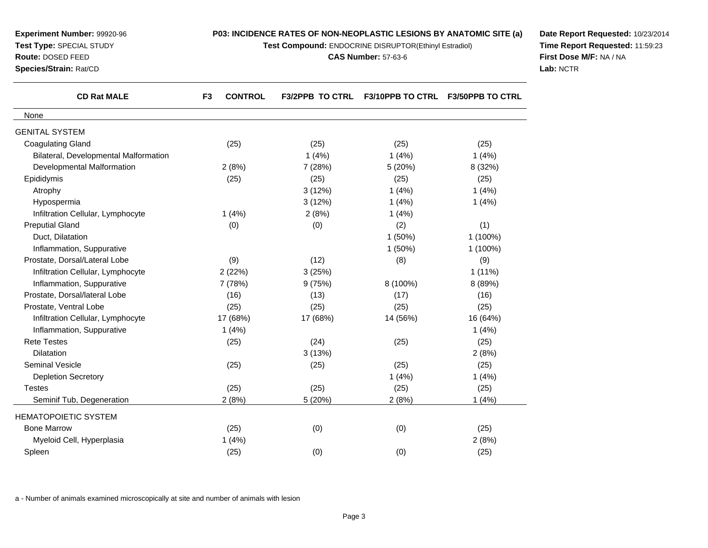| Route: DOSED FEED<br>Species/Strain: Rat/CD | <b>CAS Number: 57-63-6</b>       |                        |                         |                         | First Dose M/F: NA / NA<br>Lab: NCTR |
|---------------------------------------------|----------------------------------|------------------------|-------------------------|-------------------------|--------------------------------------|
| <b>CD Rat MALE</b>                          | <b>CONTROL</b><br>F <sub>3</sub> | <b>F3/2PPB TO CTRL</b> | <b>F3/10PPB TO CTRL</b> | <b>F3/50PPB TO CTRL</b> |                                      |
| None                                        |                                  |                        |                         |                         |                                      |
| <b>GENITAL SYSTEM</b>                       |                                  |                        |                         |                         |                                      |
| <b>Coagulating Gland</b>                    | (25)                             | (25)                   | (25)                    | (25)                    |                                      |
| Bilateral, Developmental Malformation       |                                  | 1(4%)                  | 1(4%)                   | 1(4%)                   |                                      |
| Developmental Malformation                  | 2(8%)                            | 7 (28%)                | 5(20%)                  | 8 (32%)                 |                                      |
| Epididymis                                  | (25)                             | (25)                   | (25)                    | (25)                    |                                      |
| Atrophy                                     |                                  | 3(12%)                 | 1(4%)                   | 1(4%)                   |                                      |
| Hypospermia                                 |                                  | 3(12%)                 | 1(4%)                   | 1(4%)                   |                                      |
| Infiltration Cellular, Lymphocyte           | 1(4%)                            | 2(8%)                  | 1(4%)                   |                         |                                      |
| <b>Preputial Gland</b>                      | (0)                              | (0)                    | (2)                     | (1)                     |                                      |
| Duct, Dilatation                            |                                  |                        | 1(50%)                  | 1 (100%)                |                                      |
| Inflammation, Suppurative                   |                                  |                        | 1(50%)                  | 1 (100%)                |                                      |
| Prostate, Dorsal/Lateral Lobe               | (9)                              | (12)                   | (8)                     | (9)                     |                                      |
| Infiltration Cellular, Lymphocyte           | 2(22%)                           | 3(25%)                 |                         | $1(11\%)$               |                                      |
| Inflammation, Suppurative                   | 7 (78%)                          | 9(75%)                 | 8 (100%)                | 8 (89%)                 |                                      |
| Prostate, Dorsal/lateral Lobe               | (16)                             | (13)                   | (17)                    | (16)                    |                                      |
| Prostate, Ventral Lobe                      | (25)                             | (25)                   | (25)                    | (25)                    |                                      |
| Infiltration Cellular, Lymphocyte           | 17 (68%)                         | 17 (68%)               | 14 (56%)                | 16 (64%)                |                                      |
| Inflammation, Suppurative                   | 1(4%)                            |                        |                         | 1(4%)                   |                                      |
| <b>Rete Testes</b>                          | (25)                             | (24)                   | (25)                    | (25)                    |                                      |
| Dilatation                                  |                                  | 3(13%)                 |                         | 2(8%)                   |                                      |
| Seminal Vesicle                             | (25)                             | (25)                   | (25)                    | (25)                    |                                      |
| <b>Depletion Secretory</b>                  |                                  |                        | 1(4%)                   | 1(4%)                   |                                      |
| <b>Testes</b>                               | (25)                             | (25)                   | (25)                    | (25)                    |                                      |
| Seminif Tub, Degeneration                   | 2(8%)                            | 5(20%)                 | 2(8%)                   | 1(4%)                   |                                      |
| HEMATOPOIETIC SYSTEM                        |                                  |                        |                         |                         |                                      |
| <b>Bone Marrow</b>                          | (25)                             | (0)                    | (0)                     | (25)                    |                                      |
| Myeloid Cell, Hyperplasia                   | 1(4%)                            |                        |                         | 2(8%)                   |                                      |
| Spleen                                      | (25)                             | (0)                    | (0)                     | (25)                    |                                      |

**P03: INCIDENCE RATES OF NON-NEOPLASTIC LESIONS BY ANATOMIC SITE (a)Test Compound:** ENDOCRINE DISRUPTOR(Ethinyl Estradiol)

**Date Report Requested:** 10/23/2014**Time Report Requested:** 11:59:23

a - Number of animals examined microscopically at site and number of animals with lesion

**Experiment Number:** 99920-96**Test Type:** SPECIAL STUDY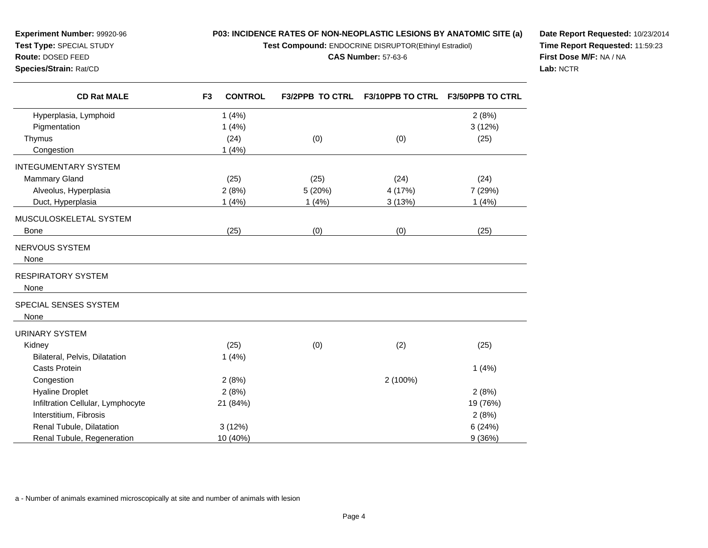**Test Compound:** ENDOCRINE DISRUPTOR(Ethinyl Estradiol)

#### **CAS Number:** 57-63-6

**Route:** DOSED FEED**Species/Strain:** Rat/CD

**Experiment Number:** 99920-96**Test Type:** SPECIAL STUDY

**Date Report Requested:** 10/23/2014**Time Report Requested:** 11:59:23**First Dose M/F:** NA / NA**Lab:** NCTR

| <b>CD Rat MALE</b>                | <b>CONTROL</b><br>F <sub>3</sub> | <b>F3/2PPB TO CTRL</b> | F3/10PPB TO CTRL | <b>F3/50PPB TO CTRL</b> |
|-----------------------------------|----------------------------------|------------------------|------------------|-------------------------|
| Hyperplasia, Lymphoid             | 1(4%)                            |                        |                  | 2(8%)                   |
| Pigmentation                      | 1(4%)                            |                        |                  | 3(12%)                  |
| Thymus                            | (24)                             | (0)                    | (0)              | (25)                    |
| Congestion                        | 1(4%)                            |                        |                  |                         |
| <b>INTEGUMENTARY SYSTEM</b>       |                                  |                        |                  |                         |
| <b>Mammary Gland</b>              | (25)                             | (25)                   | (24)             | (24)                    |
| Alveolus, Hyperplasia             | 2(8%)                            | 5 (20%)                | 4 (17%)          | 7 (29%)                 |
| Duct, Hyperplasia                 | 1(4%)                            | 1(4%)                  | 3(13%)           | 1(4%)                   |
| MUSCULOSKELETAL SYSTEM            |                                  |                        |                  |                         |
| <b>Bone</b>                       | (25)                             | (0)                    | (0)              | (25)                    |
| NERVOUS SYSTEM                    |                                  |                        |                  |                         |
| None                              |                                  |                        |                  |                         |
| <b>RESPIRATORY SYSTEM</b>         |                                  |                        |                  |                         |
| None                              |                                  |                        |                  |                         |
| SPECIAL SENSES SYSTEM             |                                  |                        |                  |                         |
| None                              |                                  |                        |                  |                         |
| <b>URINARY SYSTEM</b>             |                                  |                        |                  |                         |
| Kidney                            | (25)                             | (0)                    | (2)              | (25)                    |
| Bilateral, Pelvis, Dilatation     | 1(4%)                            |                        |                  |                         |
| <b>Casts Protein</b>              |                                  |                        |                  | 1(4%)                   |
| Congestion                        | 2(8%)                            |                        | 2 (100%)         |                         |
| <b>Hyaline Droplet</b>            | 2(8%)                            |                        |                  | 2(8%)                   |
| Infiltration Cellular, Lymphocyte | 21 (84%)                         |                        |                  | 19 (76%)                |
| Interstitium, Fibrosis            |                                  |                        |                  | 2(8%)                   |
| Renal Tubule, Dilatation          | 3(12%)                           |                        |                  | 6(24%)                  |
| Renal Tubule, Regeneration        | 10 (40%)                         |                        |                  | 9(36%)                  |

a - Number of animals examined microscopically at site and number of animals with lesion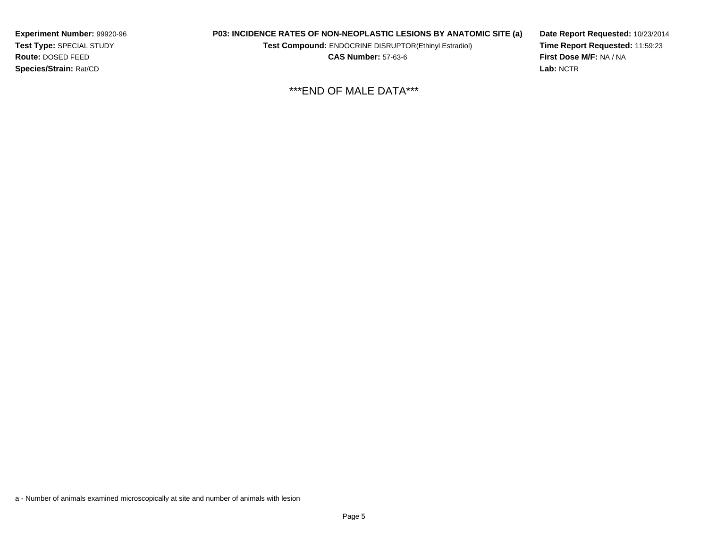**Experiment Number:** 99920-96**Test Type:** SPECIAL STUDY**Route:** DOSED FEED**Species/Strain:** Rat/CD

# **P03: INCIDENCE RATES OF NON-NEOPLASTIC LESIONS BY ANATOMIC SITE (a)**

**Test Compound:** ENDOCRINE DISRUPTOR(Ethinyl Estradiol)

**CAS Number:** 57-63-6

**Date Report Requested:** 10/23/2014**Time Report Requested:** 11:59:23**First Dose M/F:** NA / NA**Lab:** NCTR

\*\*\*END OF MALE DATA\*\*\*

a - Number of animals examined microscopically at site and number of animals with lesion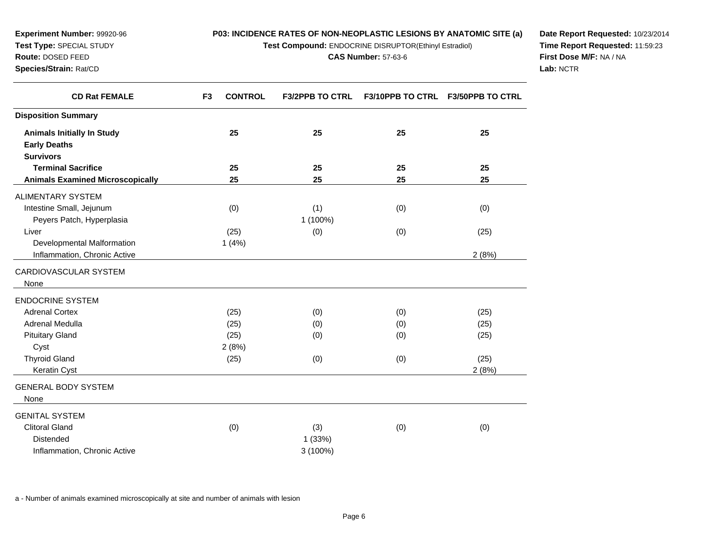**Test Compound:** ENDOCRINE DISRUPTOR(Ethinyl Estradiol)

**CAS Number:** 57-63-6

**Date Report Requested:** 10/23/2014**Time Report Requested:** 11:59:23**First Dose M/F:** NA / NA**Lab:** NCTR

| F3/10PPB TO CTRL F3/50PPB TO CTRL | <b>F3/2PPB TO CTRL</b>    | <b>CONTROL</b> | F <sub>3</sub> | <b>CD Rat FEMALE</b>                    |
|-----------------------------------|---------------------------|----------------|----------------|-----------------------------------------|
|                                   |                           |                |                | <b>Disposition Summary</b>              |
| 25<br>25                          | 25                        | 25             |                | <b>Animals Initially In Study</b>       |
|                                   |                           |                |                | <b>Early Deaths</b>                     |
|                                   |                           |                |                | <b>Survivors</b>                        |
| 25<br>25                          | 25                        | 25             |                | <b>Terminal Sacrifice</b>               |
| 25<br>25                          | 25                        | 25             |                | <b>Animals Examined Microscopically</b> |
|                                   |                           |                |                | ALIMENTARY SYSTEM                       |
| (0)<br>(0)                        | (1)                       | (0)            |                | Intestine Small, Jejunum                |
|                                   | 1 (100%)                  |                |                | Peyers Patch, Hyperplasia               |
| (25)<br>(0)                       | (0)                       | (25)           |                | Liver                                   |
|                                   |                           | 1(4%)          |                | Developmental Malformation              |
| 2(8%)                             |                           |                |                | Inflammation, Chronic Active            |
|                                   |                           |                |                | CARDIOVASCULAR SYSTEM                   |
|                                   |                           |                |                | None                                    |
|                                   |                           |                |                | ENDOCRINE SYSTEM                        |
| (25)<br>(0)                       | (0)                       | (25)           |                | <b>Adrenal Cortex</b>                   |
| (25)<br>(0)                       | (0)                       | (25)           |                | Adrenal Medulla                         |
| (25)<br>(0)                       | (0)                       | (25)           |                | <b>Pituitary Gland</b>                  |
|                                   |                           | 2(8%)          |                | Cyst                                    |
| (25)<br>(0)                       | (0)                       | (25)           |                | <b>Thyroid Gland</b>                    |
| 2(8%)                             |                           |                |                | Keratin Cyst                            |
|                                   |                           |                |                | <b>GENERAL BODY SYSTEM</b>              |
|                                   |                           |                |                | None                                    |
|                                   |                           |                |                | <b>GENITAL SYSTEM</b>                   |
| (0)                               |                           |                |                | <b>Clitoral Gland</b>                   |
|                                   |                           |                |                | <b>Distended</b>                        |
|                                   |                           |                |                |                                         |
| (0)                               | (3)<br>1(33%)<br>3 (100%) | (0)            |                | Inflammation, Chronic Active            |

a - Number of animals examined microscopically at site and number of animals with lesion

**Experiment Number:** 99920-96**Test Type:** SPECIAL STUDY**Route:** DOSED FEED**Species/Strain:** Rat/CD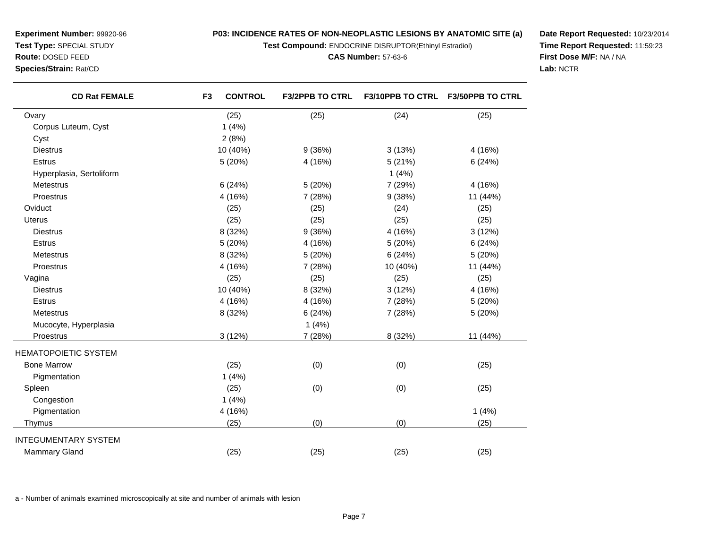**Test Compound:** ENDOCRINE DISRUPTOR(Ethinyl Estradiol)

**CAS Number:** 57-63-6

**Date Report Requested:** 10/23/2014**Time Report Requested:** 11:59:23**First Dose M/F:** NA / NA**Lab:** NCTR

| <b>CD Rat FEMALE</b>        | F <sub>3</sub> | <b>CONTROL</b> | <b>F3/2PPB TO CTRL</b> | F3/10PPB TO CTRL | F3/50PPB TO CTRL |
|-----------------------------|----------------|----------------|------------------------|------------------|------------------|
| Ovary                       |                | (25)           | (25)                   | (24)             | (25)             |
| Corpus Luteum, Cyst         |                | 1(4%)          |                        |                  |                  |
| Cyst                        |                | 2(8%)          |                        |                  |                  |
| <b>Diestrus</b>             |                | 10 (40%)       | 9(36%)                 | 3(13%)           | 4 (16%)          |
| Estrus                      |                | 5 (20%)        | 4 (16%)                | 5(21%)           | 6(24%)           |
| Hyperplasia, Sertoliform    |                |                |                        | 1(4%)            |                  |
| Metestrus                   |                | 6(24%)         | 5(20%)                 | 7 (29%)          | 4 (16%)          |
| Proestrus                   |                | 4 (16%)        | 7 (28%)                | 9(38%)           | 11 (44%)         |
| Oviduct                     |                | (25)           | (25)                   | (24)             | (25)             |
| <b>Uterus</b>               |                | (25)           | (25)                   | (25)             | (25)             |
| <b>Diestrus</b>             |                | 8 (32%)        | 9(36%)                 | 4 (16%)          | 3(12%)           |
| <b>Estrus</b>               |                | 5 (20%)        | 4 (16%)                | 5 (20%)          | 6(24%)           |
| Metestrus                   |                | 8 (32%)        | 5 (20%)                | 6(24%)           | 5(20%)           |
| Proestrus                   |                | 4 (16%)        | 7 (28%)                | 10 (40%)         | 11 (44%)         |
| Vagina                      |                | (25)           | (25)                   | (25)             | (25)             |
| <b>Diestrus</b>             |                | 10 (40%)       | 8 (32%)                | 3(12%)           | 4 (16%)          |
| <b>Estrus</b>               |                | 4 (16%)        | 4 (16%)                | 7 (28%)          | 5(20%)           |
| Metestrus                   |                | 8 (32%)        | 6(24%)                 | 7 (28%)          | 5 (20%)          |
| Mucocyte, Hyperplasia       |                |                | 1(4%)                  |                  |                  |
| Proestrus                   |                | 3(12%)         | 7 (28%)                | 8 (32%)          | 11 (44%)         |
| <b>HEMATOPOIETIC SYSTEM</b> |                |                |                        |                  |                  |
| <b>Bone Marrow</b>          |                | (25)           | (0)                    | (0)              | (25)             |
| Pigmentation                |                | 1(4%)          |                        |                  |                  |
| Spleen                      |                | (25)           | (0)                    | (0)              | (25)             |
| Congestion                  |                | 1(4%)          |                        |                  |                  |
| Pigmentation                |                | 4 (16%)        |                        |                  | 1(4%)            |

n  $4(16%)$ 

d (25) (25) (25) (25) (25) (25)

s (25)  $(25)$  (0)  $(0)$  (25)

a - Number of animals examined microscopically at site and number of animals with lesion

**Experiment Number:** 99920-96**Test Type:** SPECIAL STUDY

**Route:** DOSED FEED

**Species/Strain:** Rat/CD

Mammary Gland

INTEGUMENTARY SYSTEM

Thymus